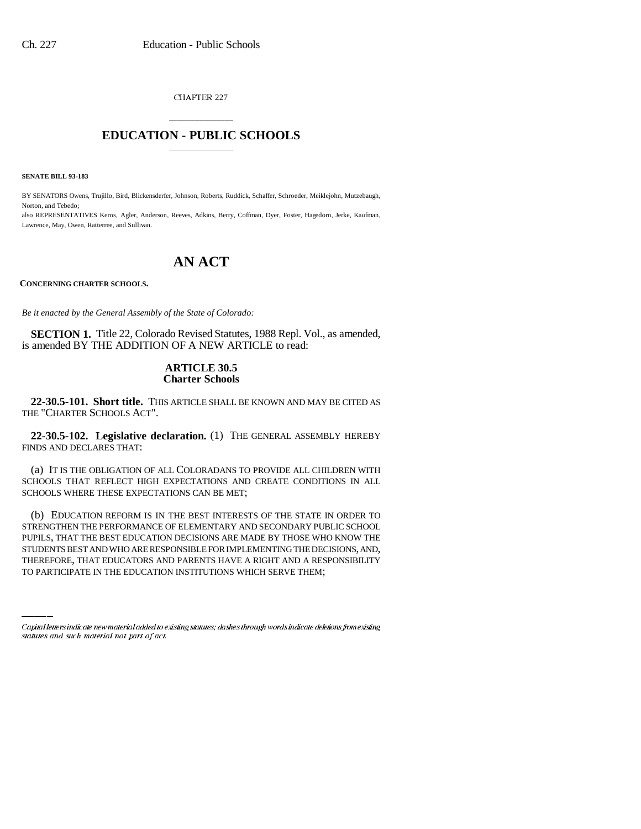CHAPTER 227

## \_\_\_\_\_\_\_\_\_\_\_\_\_\_\_ **EDUCATION - PUBLIC SCHOOLS** \_\_\_\_\_\_\_\_\_\_\_\_\_\_\_

**SENATE BILL 93-183**

BY SENATORS Owens, Trujillo, Bird, Blickensderfer, Johnson, Roberts, Ruddick, Schaffer, Schroeder, Meiklejohn, Mutzebaugh, Norton, and Tebedo;

also REPRESENTATIVES Kerns, Agler, Anderson, Reeves, Adkins, Berry, Coffman, Dyer, Foster, Hagedorn, Jerke, Kaufman, Lawrence, May, Owen, Ratterree, and Sullivan.

# **AN ACT**

**CONCERNING CHARTER SCHOOLS.**

*Be it enacted by the General Assembly of the State of Colorado:*

**SECTION 1.** Title 22, Colorado Revised Statutes, 1988 Repl. Vol., as amended, is amended BY THE ADDITION OF A NEW ARTICLE to read:

### **ARTICLE 30.5 Charter Schools**

**22-30.5-101. Short title.** THIS ARTICLE SHALL BE KNOWN AND MAY BE CITED AS THE "CHARTER SCHOOLS ACT".

**22-30.5-102. Legislative declaration.** (1) THE GENERAL ASSEMBLY HEREBY FINDS AND DECLARES THAT:

(a) IT IS THE OBLIGATION OF ALL COLORADANS TO PROVIDE ALL CHILDREN WITH SCHOOLS THAT REFLECT HIGH EXPECTATIONS AND CREATE CONDITIONS IN ALL SCHOOLS WHERE THESE EXPECTATIONS CAN BE MET;

PUPILS, THAT THE BEST EDUCATION DECISIONS ARE MADE BY THOSE WHO KNOW THE (b) EDUCATION REFORM IS IN THE BEST INTERESTS OF THE STATE IN ORDER TO STRENGTHEN THE PERFORMANCE OF ELEMENTARY AND SECONDARY PUBLIC SCHOOL STUDENTS BEST AND WHO ARE RESPONSIBLE FOR IMPLEMENTING THE DECISIONS, AND, THEREFORE, THAT EDUCATORS AND PARENTS HAVE A RIGHT AND A RESPONSIBILITY TO PARTICIPATE IN THE EDUCATION INSTITUTIONS WHICH SERVE THEM;

Capital letters indicate new material added to existing statutes; dashes through words indicate deletions from existing statutes and such material not part of act.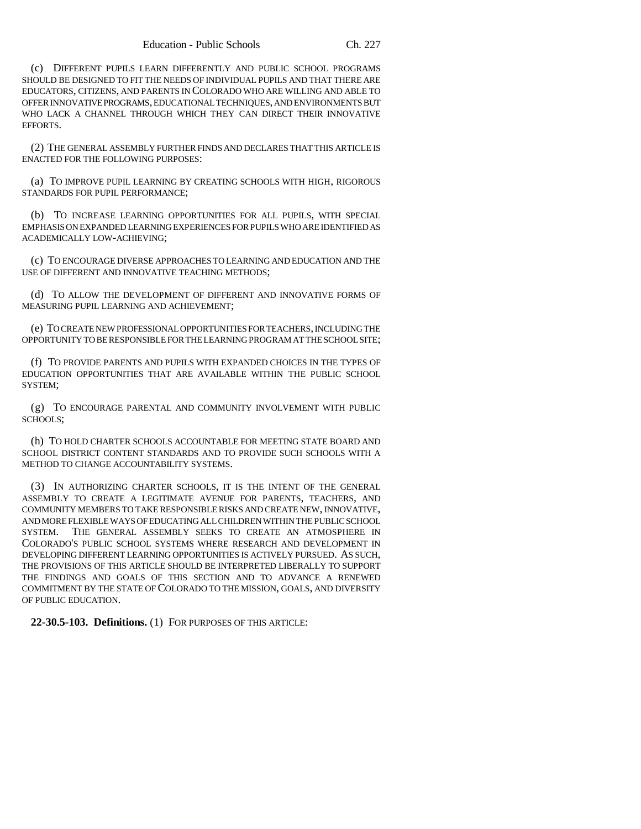(c) DIFFERENT PUPILS LEARN DIFFERENTLY AND PUBLIC SCHOOL PROGRAMS SHOULD BE DESIGNED TO FIT THE NEEDS OF INDIVIDUAL PUPILS AND THAT THERE ARE EDUCATORS, CITIZENS, AND PARENTS IN COLORADO WHO ARE WILLING AND ABLE TO OFFER INNOVATIVE PROGRAMS, EDUCATIONAL TECHNIQUES, AND ENVIRONMENTS BUT WHO LACK A CHANNEL THROUGH WHICH THEY CAN DIRECT THEIR INNOVATIVE EFFORTS.

(2) THE GENERAL ASSEMBLY FURTHER FINDS AND DECLARES THAT THIS ARTICLE IS ENACTED FOR THE FOLLOWING PURPOSES:

(a) TO IMPROVE PUPIL LEARNING BY CREATING SCHOOLS WITH HIGH, RIGOROUS STANDARDS FOR PUPIL PERFORMANCE;

(b) TO INCREASE LEARNING OPPORTUNITIES FOR ALL PUPILS, WITH SPECIAL EMPHASIS ON EXPANDED LEARNING EXPERIENCES FOR PUPILS WHO ARE IDENTIFIED AS ACADEMICALLY LOW-ACHIEVING;

(c) TO ENCOURAGE DIVERSE APPROACHES TO LEARNING AND EDUCATION AND THE USE OF DIFFERENT AND INNOVATIVE TEACHING METHODS;

(d) TO ALLOW THE DEVELOPMENT OF DIFFERENT AND INNOVATIVE FORMS OF MEASURING PUPIL LEARNING AND ACHIEVEMENT;

(e) TO CREATE NEW PROFESSIONAL OPPORTUNITIES FOR TEACHERS, INCLUDING THE OPPORTUNITY TO BE RESPONSIBLE FOR THE LEARNING PROGRAM AT THE SCHOOL SITE;

(f) TO PROVIDE PARENTS AND PUPILS WITH EXPANDED CHOICES IN THE TYPES OF EDUCATION OPPORTUNITIES THAT ARE AVAILABLE WITHIN THE PUBLIC SCHOOL SYSTEM;

(g) TO ENCOURAGE PARENTAL AND COMMUNITY INVOLVEMENT WITH PUBLIC SCHOOLS;

(h) TO HOLD CHARTER SCHOOLS ACCOUNTABLE FOR MEETING STATE BOARD AND SCHOOL DISTRICT CONTENT STANDARDS AND TO PROVIDE SUCH SCHOOLS WITH A METHOD TO CHANGE ACCOUNTABILITY SYSTEMS.

(3) IN AUTHORIZING CHARTER SCHOOLS, IT IS THE INTENT OF THE GENERAL ASSEMBLY TO CREATE A LEGITIMATE AVENUE FOR PARENTS, TEACHERS, AND COMMUNITY MEMBERS TO TAKE RESPONSIBLE RISKS AND CREATE NEW, INNOVATIVE, AND MORE FLEXIBLE WAYS OF EDUCATING ALL CHILDREN WITHIN THE PUBLIC SCHOOL SYSTEM. THE GENERAL ASSEMBLY SEEKS TO CREATE AN ATMOSPHERE IN COLORADO'S PUBLIC SCHOOL SYSTEMS WHERE RESEARCH AND DEVELOPMENT IN DEVELOPING DIFFERENT LEARNING OPPORTUNITIES IS ACTIVELY PURSUED. AS SUCH, THE PROVISIONS OF THIS ARTICLE SHOULD BE INTERPRETED LIBERALLY TO SUPPORT THE FINDINGS AND GOALS OF THIS SECTION AND TO ADVANCE A RENEWED COMMITMENT BY THE STATE OF COLORADO TO THE MISSION, GOALS, AND DIVERSITY OF PUBLIC EDUCATION.

**22-30.5-103. Definitions.** (1) FOR PURPOSES OF THIS ARTICLE: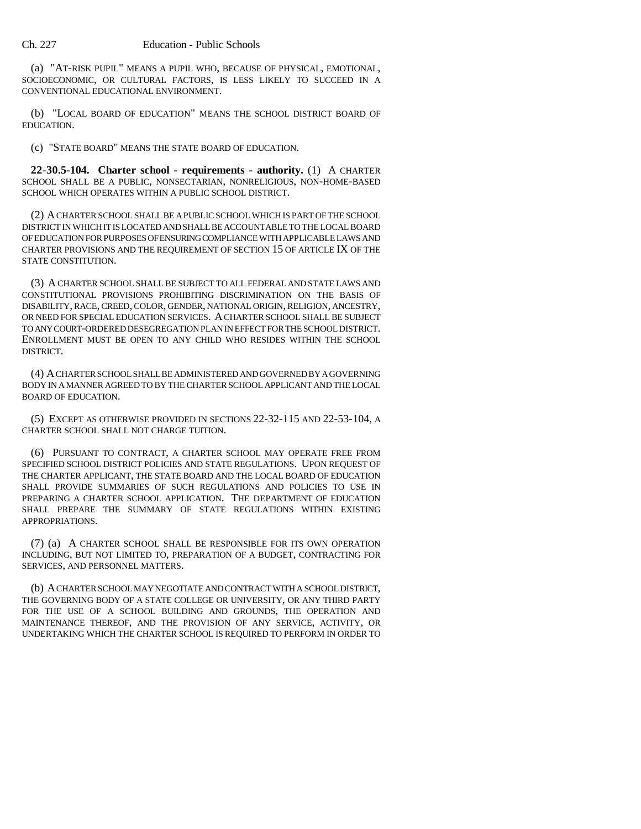#### Ch. 227 Education - Public Schools

(a) "AT-RISK PUPIL" MEANS A PUPIL WHO, BECAUSE OF PHYSICAL, EMOTIONAL, SOCIOECONOMIC, OR CULTURAL FACTORS, IS LESS LIKELY TO SUCCEED IN A CONVENTIONAL EDUCATIONAL ENVIRONMENT.

(b) "LOCAL BOARD OF EDUCATION" MEANS THE SCHOOL DISTRICT BOARD OF EDUCATION.

(c) "STATE BOARD" MEANS THE STATE BOARD OF EDUCATION.

**22-30.5-104. Charter school - requirements - authority.** (1) A CHARTER SCHOOL SHALL BE A PUBLIC, NONSECTARIAN, NONRELIGIOUS, NON-HOME-BASED SCHOOL WHICH OPERATES WITHIN A PUBLIC SCHOOL DISTRICT.

(2) A CHARTER SCHOOL SHALL BE A PUBLIC SCHOOL WHICH IS PART OF THE SCHOOL DISTRICT IN WHICH IT IS LOCATED AND SHALL BE ACCOUNTABLE TO THE LOCAL BOARD OF EDUCATION FOR PURPOSES OF ENSURING COMPLIANCE WITH APPLICABLE LAWS AND CHARTER PROVISIONS AND THE REQUIREMENT OF SECTION 15 OF ARTICLE IX OF THE STATE CONSTITUTION.

(3) A CHARTER SCHOOL SHALL BE SUBJECT TO ALL FEDERAL AND STATE LAWS AND CONSTITUTIONAL PROVISIONS PROHIBITING DISCRIMINATION ON THE BASIS OF DISABILITY, RACE, CREED, COLOR, GENDER, NATIONAL ORIGIN, RELIGION, ANCESTRY, OR NEED FOR SPECIAL EDUCATION SERVICES. A CHARTER SCHOOL SHALL BE SUBJECT TO ANY COURT-ORDERED DESEGREGATION PLAN IN EFFECT FOR THE SCHOOL DISTRICT. ENROLLMENT MUST BE OPEN TO ANY CHILD WHO RESIDES WITHIN THE SCHOOL DISTRICT.

(4) A CHARTER SCHOOL SHALL BE ADMINISTERED AND GOVERNED BY A GOVERNING BODY IN A MANNER AGREED TO BY THE CHARTER SCHOOL APPLICANT AND THE LOCAL BOARD OF EDUCATION.

(5) EXCEPT AS OTHERWISE PROVIDED IN SECTIONS 22-32-115 AND 22-53-104, A CHARTER SCHOOL SHALL NOT CHARGE TUITION.

(6) PURSUANT TO CONTRACT, A CHARTER SCHOOL MAY OPERATE FREE FROM SPECIFIED SCHOOL DISTRICT POLICIES AND STATE REGULATIONS. UPON REQUEST OF THE CHARTER APPLICANT, THE STATE BOARD AND THE LOCAL BOARD OF EDUCATION SHALL PROVIDE SUMMARIES OF SUCH REGULATIONS AND POLICIES TO USE IN PREPARING A CHARTER SCHOOL APPLICATION. THE DEPARTMENT OF EDUCATION SHALL PREPARE THE SUMMARY OF STATE REGULATIONS WITHIN EXISTING APPROPRIATIONS.

(7) (a) A CHARTER SCHOOL SHALL BE RESPONSIBLE FOR ITS OWN OPERATION INCLUDING, BUT NOT LIMITED TO, PREPARATION OF A BUDGET, CONTRACTING FOR SERVICES, AND PERSONNEL MATTERS.

(b) A CHARTER SCHOOL MAY NEGOTIATE AND CONTRACT WITH A SCHOOL DISTRICT, THE GOVERNING BODY OF A STATE COLLEGE OR UNIVERSITY, OR ANY THIRD PARTY FOR THE USE OF A SCHOOL BUILDING AND GROUNDS, THE OPERATION AND MAINTENANCE THEREOF, AND THE PROVISION OF ANY SERVICE, ACTIVITY, OR UNDERTAKING WHICH THE CHARTER SCHOOL IS REQUIRED TO PERFORM IN ORDER TO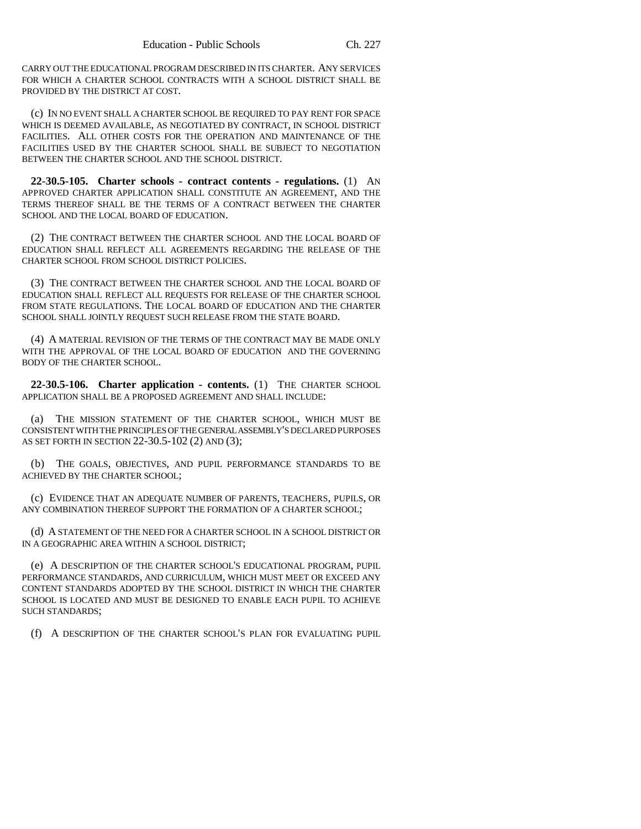CARRY OUT THE EDUCATIONAL PROGRAM DESCRIBED IN ITS CHARTER. ANY SERVICES FOR WHICH A CHARTER SCHOOL CONTRACTS WITH A SCHOOL DISTRICT SHALL BE PROVIDED BY THE DISTRICT AT COST.

(c) IN NO EVENT SHALL A CHARTER SCHOOL BE REQUIRED TO PAY RENT FOR SPACE WHICH IS DEEMED AVAILABLE, AS NEGOTIATED BY CONTRACT, IN SCHOOL DISTRICT FACILITIES. ALL OTHER COSTS FOR THE OPERATION AND MAINTENANCE OF THE FACILITIES USED BY THE CHARTER SCHOOL SHALL BE SUBJECT TO NEGOTIATION BETWEEN THE CHARTER SCHOOL AND THE SCHOOL DISTRICT.

**22-30.5-105. Charter schools - contract contents - regulations.** (1) AN APPROVED CHARTER APPLICATION SHALL CONSTITUTE AN AGREEMENT, AND THE TERMS THEREOF SHALL BE THE TERMS OF A CONTRACT BETWEEN THE CHARTER SCHOOL AND THE LOCAL BOARD OF EDUCATION.

(2) THE CONTRACT BETWEEN THE CHARTER SCHOOL AND THE LOCAL BOARD OF EDUCATION SHALL REFLECT ALL AGREEMENTS REGARDING THE RELEASE OF THE CHARTER SCHOOL FROM SCHOOL DISTRICT POLICIES.

(3) THE CONTRACT BETWEEN THE CHARTER SCHOOL AND THE LOCAL BOARD OF EDUCATION SHALL REFLECT ALL REQUESTS FOR RELEASE OF THE CHARTER SCHOOL FROM STATE REGULATIONS. THE LOCAL BOARD OF EDUCATION AND THE CHARTER SCHOOL SHALL JOINTLY REQUEST SUCH RELEASE FROM THE STATE BOARD.

(4) A MATERIAL REVISION OF THE TERMS OF THE CONTRACT MAY BE MADE ONLY WITH THE APPROVAL OF THE LOCAL BOARD OF EDUCATION AND THE GOVERNING BODY OF THE CHARTER SCHOOL.

**22-30.5-106. Charter application - contents.** (1) THE CHARTER SCHOOL APPLICATION SHALL BE A PROPOSED AGREEMENT AND SHALL INCLUDE:

(a) THE MISSION STATEMENT OF THE CHARTER SCHOOL, WHICH MUST BE CONSISTENT WITH THE PRINCIPLES OF THE GENERAL ASSEMBLY'S DECLARED PURPOSES AS SET FORTH IN SECTION 22-30.5-102 (2) AND (3);

(b) THE GOALS, OBJECTIVES, AND PUPIL PERFORMANCE STANDARDS TO BE ACHIEVED BY THE CHARTER SCHOOL;

(c) EVIDENCE THAT AN ADEQUATE NUMBER OF PARENTS, TEACHERS, PUPILS, OR ANY COMBINATION THEREOF SUPPORT THE FORMATION OF A CHARTER SCHOOL;

(d) A STATEMENT OF THE NEED FOR A CHARTER SCHOOL IN A SCHOOL DISTRICT OR IN A GEOGRAPHIC AREA WITHIN A SCHOOL DISTRICT;

(e) A DESCRIPTION OF THE CHARTER SCHOOL'S EDUCATIONAL PROGRAM, PUPIL PERFORMANCE STANDARDS, AND CURRICULUM, WHICH MUST MEET OR EXCEED ANY CONTENT STANDARDS ADOPTED BY THE SCHOOL DISTRICT IN WHICH THE CHARTER SCHOOL IS LOCATED AND MUST BE DESIGNED TO ENABLE EACH PUPIL TO ACHIEVE SUCH STANDARDS;

(f) A DESCRIPTION OF THE CHARTER SCHOOL'S PLAN FOR EVALUATING PUPIL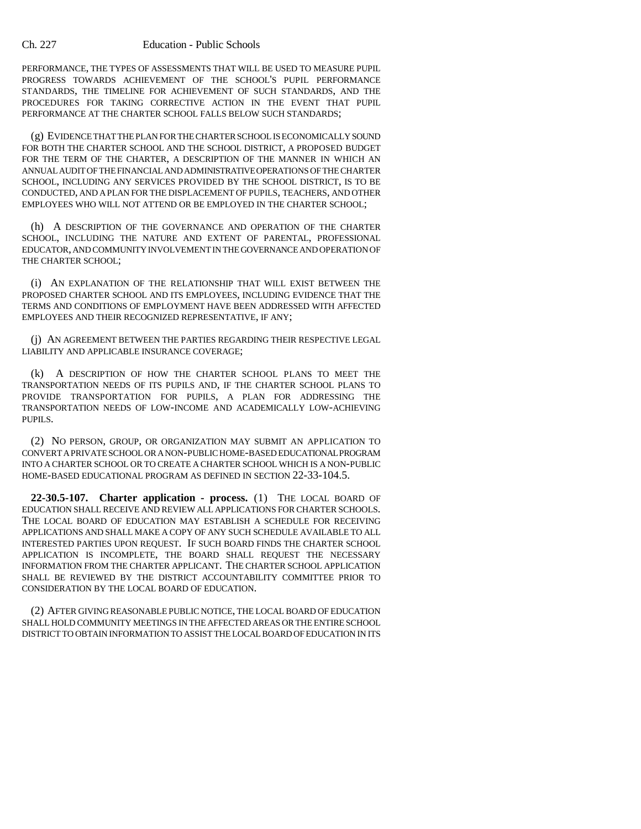#### Ch. 227 Education - Public Schools

PERFORMANCE, THE TYPES OF ASSESSMENTS THAT WILL BE USED TO MEASURE PUPIL PROGRESS TOWARDS ACHIEVEMENT OF THE SCHOOL'S PUPIL PERFORMANCE STANDARDS, THE TIMELINE FOR ACHIEVEMENT OF SUCH STANDARDS, AND THE PROCEDURES FOR TAKING CORRECTIVE ACTION IN THE EVENT THAT PUPIL PERFORMANCE AT THE CHARTER SCHOOL FALLS BELOW SUCH STANDARDS;

(g) EVIDENCE THAT THE PLAN FOR THE CHARTER SCHOOL IS ECONOMICALLY SOUND FOR BOTH THE CHARTER SCHOOL AND THE SCHOOL DISTRICT, A PROPOSED BUDGET FOR THE TERM OF THE CHARTER, A DESCRIPTION OF THE MANNER IN WHICH AN ANNUAL AUDIT OF THE FINANCIAL AND ADMINISTRATIVE OPERATIONS OF THE CHARTER SCHOOL, INCLUDING ANY SERVICES PROVIDED BY THE SCHOOL DISTRICT, IS TO BE CONDUCTED, AND A PLAN FOR THE DISPLACEMENT OF PUPILS, TEACHERS, AND OTHER EMPLOYEES WHO WILL NOT ATTEND OR BE EMPLOYED IN THE CHARTER SCHOOL;

(h) A DESCRIPTION OF THE GOVERNANCE AND OPERATION OF THE CHARTER SCHOOL, INCLUDING THE NATURE AND EXTENT OF PARENTAL, PROFESSIONAL EDUCATOR, AND COMMUNITY INVOLVEMENT IN THE GOVERNANCE AND OPERATION OF THE CHARTER SCHOOL;

(i) AN EXPLANATION OF THE RELATIONSHIP THAT WILL EXIST BETWEEN THE PROPOSED CHARTER SCHOOL AND ITS EMPLOYEES, INCLUDING EVIDENCE THAT THE TERMS AND CONDITIONS OF EMPLOYMENT HAVE BEEN ADDRESSED WITH AFFECTED EMPLOYEES AND THEIR RECOGNIZED REPRESENTATIVE, IF ANY;

(j) AN AGREEMENT BETWEEN THE PARTIES REGARDING THEIR RESPECTIVE LEGAL LIABILITY AND APPLICABLE INSURANCE COVERAGE;

(k) A DESCRIPTION OF HOW THE CHARTER SCHOOL PLANS TO MEET THE TRANSPORTATION NEEDS OF ITS PUPILS AND, IF THE CHARTER SCHOOL PLANS TO PROVIDE TRANSPORTATION FOR PUPILS, A PLAN FOR ADDRESSING THE TRANSPORTATION NEEDS OF LOW-INCOME AND ACADEMICALLY LOW-ACHIEVING PUPILS.

(2) NO PERSON, GROUP, OR ORGANIZATION MAY SUBMIT AN APPLICATION TO CONVERT A PRIVATE SCHOOL OR A NON-PUBLIC HOME-BASED EDUCATIONAL PROGRAM INTO A CHARTER SCHOOL OR TO CREATE A CHARTER SCHOOL WHICH IS A NON-PUBLIC HOME-BASED EDUCATIONAL PROGRAM AS DEFINED IN SECTION 22-33-104.5.

**22-30.5-107. Charter application - process.** (1) THE LOCAL BOARD OF EDUCATION SHALL RECEIVE AND REVIEW ALL APPLICATIONS FOR CHARTER SCHOOLS. THE LOCAL BOARD OF EDUCATION MAY ESTABLISH A SCHEDULE FOR RECEIVING APPLICATIONS AND SHALL MAKE A COPY OF ANY SUCH SCHEDULE AVAILABLE TO ALL INTERESTED PARTIES UPON REQUEST. IF SUCH BOARD FINDS THE CHARTER SCHOOL APPLICATION IS INCOMPLETE, THE BOARD SHALL REQUEST THE NECESSARY INFORMATION FROM THE CHARTER APPLICANT. THE CHARTER SCHOOL APPLICATION SHALL BE REVIEWED BY THE DISTRICT ACCOUNTABILITY COMMITTEE PRIOR TO CONSIDERATION BY THE LOCAL BOARD OF EDUCATION.

(2) AFTER GIVING REASONABLE PUBLIC NOTICE, THE LOCAL BOARD OF EDUCATION SHALL HOLD COMMUNITY MEETINGS IN THE AFFECTED AREAS OR THE ENTIRE SCHOOL DISTRICT TO OBTAIN INFORMATION TO ASSIST THE LOCAL BOARD OF EDUCATION IN ITS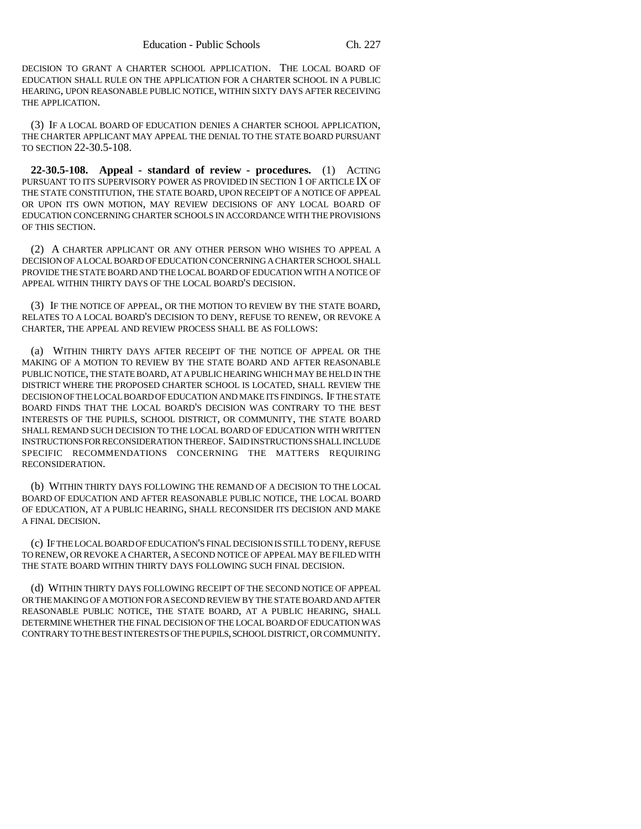DECISION TO GRANT A CHARTER SCHOOL APPLICATION. THE LOCAL BOARD OF EDUCATION SHALL RULE ON THE APPLICATION FOR A CHARTER SCHOOL IN A PUBLIC HEARING, UPON REASONABLE PUBLIC NOTICE, WITHIN SIXTY DAYS AFTER RECEIVING THE APPLICATION.

(3) IF A LOCAL BOARD OF EDUCATION DENIES A CHARTER SCHOOL APPLICATION, THE CHARTER APPLICANT MAY APPEAL THE DENIAL TO THE STATE BOARD PURSUANT TO SECTION 22-30.5-108.

**22-30.5-108. Appeal - standard of review - procedures.** (1) ACTING PURSUANT TO ITS SUPERVISORY POWER AS PROVIDED IN SECTION 1 OF ARTICLE IX OF THE STATE CONSTITUTION, THE STATE BOARD, UPON RECEIPT OF A NOTICE OF APPEAL OR UPON ITS OWN MOTION, MAY REVIEW DECISIONS OF ANY LOCAL BOARD OF EDUCATION CONCERNING CHARTER SCHOOLS IN ACCORDANCE WITH THE PROVISIONS OF THIS SECTION.

(2) A CHARTER APPLICANT OR ANY OTHER PERSON WHO WISHES TO APPEAL A DECISION OF A LOCAL BOARD OF EDUCATION CONCERNING A CHARTER SCHOOL SHALL PROVIDE THE STATE BOARD AND THE LOCAL BOARD OF EDUCATION WITH A NOTICE OF APPEAL WITHIN THIRTY DAYS OF THE LOCAL BOARD'S DECISION.

(3) IF THE NOTICE OF APPEAL, OR THE MOTION TO REVIEW BY THE STATE BOARD, RELATES TO A LOCAL BOARD'S DECISION TO DENY, REFUSE TO RENEW, OR REVOKE A CHARTER, THE APPEAL AND REVIEW PROCESS SHALL BE AS FOLLOWS:

(a) WITHIN THIRTY DAYS AFTER RECEIPT OF THE NOTICE OF APPEAL OR THE MAKING OF A MOTION TO REVIEW BY THE STATE BOARD AND AFTER REASONABLE PUBLIC NOTICE, THE STATE BOARD, AT A PUBLIC HEARING WHICH MAY BE HELD IN THE DISTRICT WHERE THE PROPOSED CHARTER SCHOOL IS LOCATED, SHALL REVIEW THE DECISION OF THE LOCAL BOARD OF EDUCATION AND MAKE ITS FINDINGS. IF THE STATE BOARD FINDS THAT THE LOCAL BOARD'S DECISION WAS CONTRARY TO THE BEST INTERESTS OF THE PUPILS, SCHOOL DISTRICT, OR COMMUNITY, THE STATE BOARD SHALL REMAND SUCH DECISION TO THE LOCAL BOARD OF EDUCATION WITH WRITTEN INSTRUCTIONS FOR RECONSIDERATION THEREOF. SAID INSTRUCTIONS SHALL INCLUDE SPECIFIC RECOMMENDATIONS CONCERNING THE MATTERS REQUIRING RECONSIDERATION.

(b) WITHIN THIRTY DAYS FOLLOWING THE REMAND OF A DECISION TO THE LOCAL BOARD OF EDUCATION AND AFTER REASONABLE PUBLIC NOTICE, THE LOCAL BOARD OF EDUCATION, AT A PUBLIC HEARING, SHALL RECONSIDER ITS DECISION AND MAKE A FINAL DECISION.

(c) IF THE LOCAL BOARD OF EDUCATION'S FINAL DECISION IS STILL TO DENY, REFUSE TO RENEW, OR REVOKE A CHARTER, A SECOND NOTICE OF APPEAL MAY BE FILED WITH THE STATE BOARD WITHIN THIRTY DAYS FOLLOWING SUCH FINAL DECISION.

(d) WITHIN THIRTY DAYS FOLLOWING RECEIPT OF THE SECOND NOTICE OF APPEAL OR THE MAKING OF A MOTION FOR A SECOND REVIEW BY THE STATE BOARD AND AFTER REASONABLE PUBLIC NOTICE, THE STATE BOARD, AT A PUBLIC HEARING, SHALL DETERMINE WHETHER THE FINAL DECISION OF THE LOCAL BOARD OF EDUCATION WAS CONTRARY TO THE BEST INTERESTS OF THE PUPILS, SCHOOL DISTRICT, OR COMMUNITY.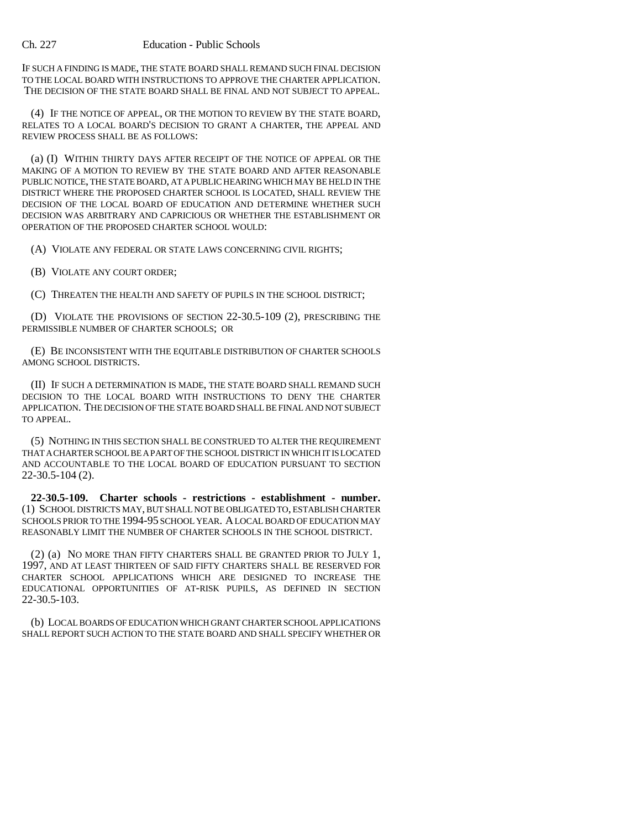#### Ch. 227 Education - Public Schools

IF SUCH A FINDING IS MADE, THE STATE BOARD SHALL REMAND SUCH FINAL DECISION TO THE LOCAL BOARD WITH INSTRUCTIONS TO APPROVE THE CHARTER APPLICATION. THE DECISION OF THE STATE BOARD SHALL BE FINAL AND NOT SUBJECT TO APPEAL.

(4) IF THE NOTICE OF APPEAL, OR THE MOTION TO REVIEW BY THE STATE BOARD, RELATES TO A LOCAL BOARD'S DECISION TO GRANT A CHARTER, THE APPEAL AND REVIEW PROCESS SHALL BE AS FOLLOWS:

(a) (I) WITHIN THIRTY DAYS AFTER RECEIPT OF THE NOTICE OF APPEAL OR THE MAKING OF A MOTION TO REVIEW BY THE STATE BOARD AND AFTER REASONABLE PUBLIC NOTICE, THE STATE BOARD, AT A PUBLIC HEARING WHICH MAY BE HELD IN THE DISTRICT WHERE THE PROPOSED CHARTER SCHOOL IS LOCATED, SHALL REVIEW THE DECISION OF THE LOCAL BOARD OF EDUCATION AND DETERMINE WHETHER SUCH DECISION WAS ARBITRARY AND CAPRICIOUS OR WHETHER THE ESTABLISHMENT OR OPERATION OF THE PROPOSED CHARTER SCHOOL WOULD:

(A) VIOLATE ANY FEDERAL OR STATE LAWS CONCERNING CIVIL RIGHTS;

(B) VIOLATE ANY COURT ORDER;

(C) THREATEN THE HEALTH AND SAFETY OF PUPILS IN THE SCHOOL DISTRICT;

(D) VIOLATE THE PROVISIONS OF SECTION 22-30.5-109 (2), PRESCRIBING THE PERMISSIBLE NUMBER OF CHARTER SCHOOLS; OR

(E) BE INCONSISTENT WITH THE EQUITABLE DISTRIBUTION OF CHARTER SCHOOLS AMONG SCHOOL DISTRICTS.

(II) IF SUCH A DETERMINATION IS MADE, THE STATE BOARD SHALL REMAND SUCH DECISION TO THE LOCAL BOARD WITH INSTRUCTIONS TO DENY THE CHARTER APPLICATION. THE DECISION OF THE STATE BOARD SHALL BE FINAL AND NOT SUBJECT TO APPEAL.

(5) NOTHING IN THIS SECTION SHALL BE CONSTRUED TO ALTER THE REQUIREMENT THAT A CHARTER SCHOOL BE A PART OF THE SCHOOL DISTRICT IN WHICH IT IS LOCATED AND ACCOUNTABLE TO THE LOCAL BOARD OF EDUCATION PURSUANT TO SECTION 22-30.5-104 (2).

**22-30.5-109. Charter schools - restrictions - establishment - number.** (1) SCHOOL DISTRICTS MAY, BUT SHALL NOT BE OBLIGATED TO, ESTABLISH CHARTER SCHOOLS PRIOR TO THE 1994-95 SCHOOL YEAR. A LOCAL BOARD OF EDUCATION MAY REASONABLY LIMIT THE NUMBER OF CHARTER SCHOOLS IN THE SCHOOL DISTRICT.

(2) (a) NO MORE THAN FIFTY CHARTERS SHALL BE GRANTED PRIOR TO JULY 1, 1997, AND AT LEAST THIRTEEN OF SAID FIFTY CHARTERS SHALL BE RESERVED FOR CHARTER SCHOOL APPLICATIONS WHICH ARE DESIGNED TO INCREASE THE EDUCATIONAL OPPORTUNITIES OF AT-RISK PUPILS, AS DEFINED IN SECTION 22-30.5-103.

(b) LOCAL BOARDS OF EDUCATION WHICH GRANT CHARTER SCHOOL APPLICATIONS SHALL REPORT SUCH ACTION TO THE STATE BOARD AND SHALL SPECIFY WHETHER OR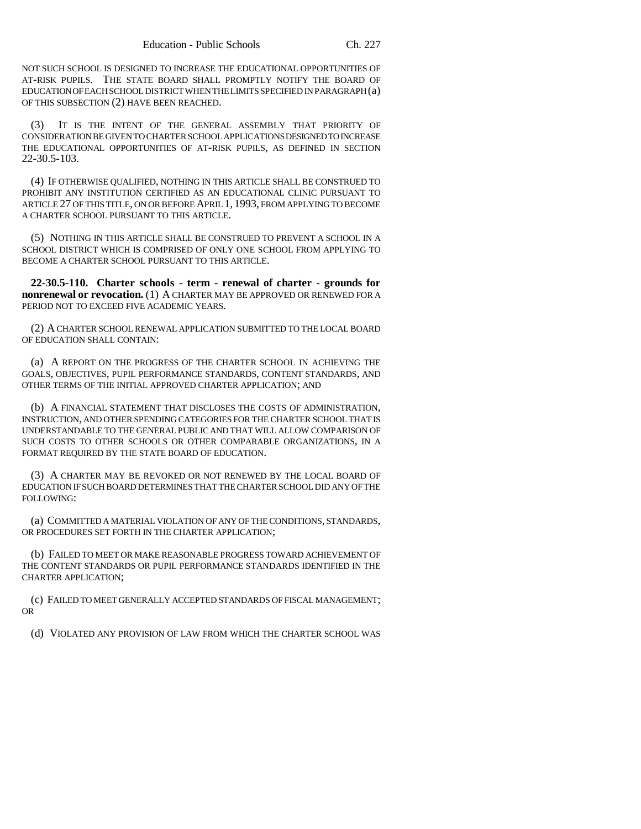NOT SUCH SCHOOL IS DESIGNED TO INCREASE THE EDUCATIONAL OPPORTUNITIES OF AT-RISK PUPILS. THE STATE BOARD SHALL PROMPTLY NOTIFY THE BOARD OF EDUCATION OF EACH SCHOOL DISTRICT WHEN THE LIMITS SPECIFIED IN PARAGRAPH (a) OF THIS SUBSECTION (2) HAVE BEEN REACHED.

(3) IT IS THE INTENT OF THE GENERAL ASSEMBLY THAT PRIORITY OF CONSIDERATION BE GIVEN TO CHARTER SCHOOL APPLICATIONS DESIGNED TO INCREASE THE EDUCATIONAL OPPORTUNITIES OF AT-RISK PUPILS, AS DEFINED IN SECTION 22-30.5-103.

(4) IF OTHERWISE QUALIFIED, NOTHING IN THIS ARTICLE SHALL BE CONSTRUED TO PROHIBIT ANY INSTITUTION CERTIFIED AS AN EDUCATIONAL CLINIC PURSUANT TO ARTICLE 27 OF THIS TITLE, ON OR BEFORE APRIL 1, 1993, FROM APPLYING TO BECOME A CHARTER SCHOOL PURSUANT TO THIS ARTICLE.

(5) NOTHING IN THIS ARTICLE SHALL BE CONSTRUED TO PREVENT A SCHOOL IN A SCHOOL DISTRICT WHICH IS COMPRISED OF ONLY ONE SCHOOL FROM APPLYING TO BECOME A CHARTER SCHOOL PURSUANT TO THIS ARTICLE.

**22-30.5-110. Charter schools - term - renewal of charter - grounds for nonrenewal or revocation.** (1) A CHARTER MAY BE APPROVED OR RENEWED FOR A PERIOD NOT TO EXCEED FIVE ACADEMIC YEARS.

(2) A CHARTER SCHOOL RENEWAL APPLICATION SUBMITTED TO THE LOCAL BOARD OF EDUCATION SHALL CONTAIN:

(a) A REPORT ON THE PROGRESS OF THE CHARTER SCHOOL IN ACHIEVING THE GOALS, OBJECTIVES, PUPIL PERFORMANCE STANDARDS, CONTENT STANDARDS, AND OTHER TERMS OF THE INITIAL APPROVED CHARTER APPLICATION; AND

(b) A FINANCIAL STATEMENT THAT DISCLOSES THE COSTS OF ADMINISTRATION, INSTRUCTION, AND OTHER SPENDING CATEGORIES FOR THE CHARTER SCHOOL THAT IS UNDERSTANDABLE TO THE GENERAL PUBLIC AND THAT WILL ALLOW COMPARISON OF SUCH COSTS TO OTHER SCHOOLS OR OTHER COMPARABLE ORGANIZATIONS, IN A FORMAT REQUIRED BY THE STATE BOARD OF EDUCATION.

(3) A CHARTER MAY BE REVOKED OR NOT RENEWED BY THE LOCAL BOARD OF EDUCATION IF SUCH BOARD DETERMINES THAT THE CHARTER SCHOOL DID ANY OF THE FOLLOWING:

(a) COMMITTED A MATERIAL VIOLATION OF ANY OF THE CONDITIONS, STANDARDS, OR PROCEDURES SET FORTH IN THE CHARTER APPLICATION;

(b) FAILED TO MEET OR MAKE REASONABLE PROGRESS TOWARD ACHIEVEMENT OF THE CONTENT STANDARDS OR PUPIL PERFORMANCE STANDARDS IDENTIFIED IN THE CHARTER APPLICATION;

(c) FAILED TO MEET GENERALLY ACCEPTED STANDARDS OF FISCAL MANAGEMENT; OR

(d) VIOLATED ANY PROVISION OF LAW FROM WHICH THE CHARTER SCHOOL WAS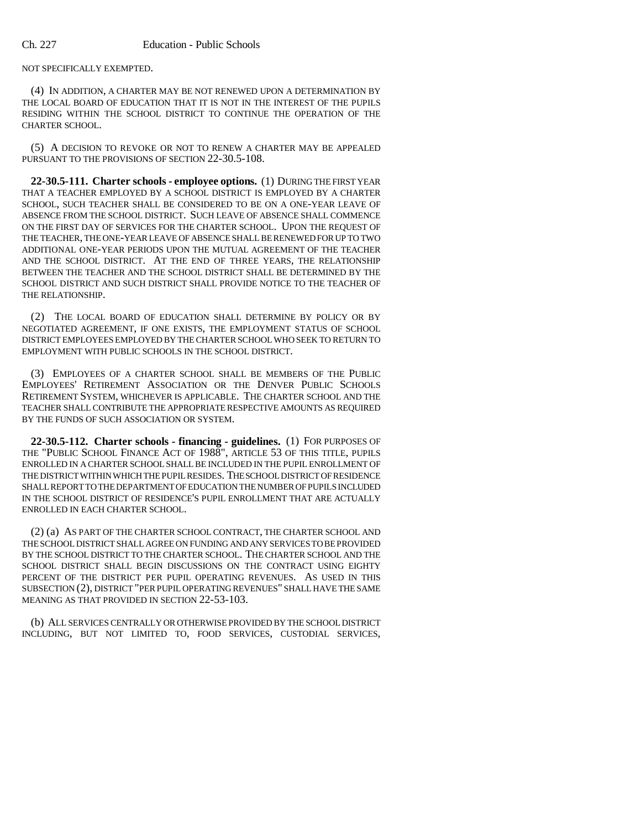NOT SPECIFICALLY EXEMPTED.

(4) IN ADDITION, A CHARTER MAY BE NOT RENEWED UPON A DETERMINATION BY THE LOCAL BOARD OF EDUCATION THAT IT IS NOT IN THE INTEREST OF THE PUPILS RESIDING WITHIN THE SCHOOL DISTRICT TO CONTINUE THE OPERATION OF THE CHARTER SCHOOL.

(5) A DECISION TO REVOKE OR NOT TO RENEW A CHARTER MAY BE APPEALED PURSUANT TO THE PROVISIONS OF SECTION 22-30.5-108.

**22-30.5-111. Charter schools - employee options.** (1) DURING THE FIRST YEAR THAT A TEACHER EMPLOYED BY A SCHOOL DISTRICT IS EMPLOYED BY A CHARTER SCHOOL, SUCH TEACHER SHALL BE CONSIDERED TO BE ON A ONE-YEAR LEAVE OF ABSENCE FROM THE SCHOOL DISTRICT. SUCH LEAVE OF ABSENCE SHALL COMMENCE ON THE FIRST DAY OF SERVICES FOR THE CHARTER SCHOOL. UPON THE REQUEST OF THE TEACHER, THE ONE-YEAR LEAVE OF ABSENCE SHALL BE RENEWED FOR UP TO TWO ADDITIONAL ONE-YEAR PERIODS UPON THE MUTUAL AGREEMENT OF THE TEACHER AND THE SCHOOL DISTRICT. AT THE END OF THREE YEARS, THE RELATIONSHIP BETWEEN THE TEACHER AND THE SCHOOL DISTRICT SHALL BE DETERMINED BY THE SCHOOL DISTRICT AND SUCH DISTRICT SHALL PROVIDE NOTICE TO THE TEACHER OF THE RELATIONSHIP.

(2) THE LOCAL BOARD OF EDUCATION SHALL DETERMINE BY POLICY OR BY NEGOTIATED AGREEMENT, IF ONE EXISTS, THE EMPLOYMENT STATUS OF SCHOOL DISTRICT EMPLOYEES EMPLOYED BY THE CHARTER SCHOOL WHO SEEK TO RETURN TO EMPLOYMENT WITH PUBLIC SCHOOLS IN THE SCHOOL DISTRICT.

(3) EMPLOYEES OF A CHARTER SCHOOL SHALL BE MEMBERS OF THE PUBLIC EMPLOYEES' RETIREMENT ASSOCIATION OR THE DENVER PUBLIC SCHOOLS RETIREMENT SYSTEM, WHICHEVER IS APPLICABLE. THE CHARTER SCHOOL AND THE TEACHER SHALL CONTRIBUTE THE APPROPRIATE RESPECTIVE AMOUNTS AS REQUIRED BY THE FUNDS OF SUCH ASSOCIATION OR SYSTEM.

**22-30.5-112. Charter schools - financing - guidelines.** (1) FOR PURPOSES OF THE "PUBLIC SCHOOL FINANCE ACT OF 1988", ARTICLE 53 OF THIS TITLE, PUPILS ENROLLED IN A CHARTER SCHOOL SHALL BE INCLUDED IN THE PUPIL ENROLLMENT OF THE DISTRICT WITHIN WHICH THE PUPIL RESIDES. THE SCHOOL DISTRICT OF RESIDENCE SHALL REPORT TO THE DEPARTMENT OF EDUCATION THE NUMBER OF PUPILS INCLUDED IN THE SCHOOL DISTRICT OF RESIDENCE'S PUPIL ENROLLMENT THAT ARE ACTUALLY ENROLLED IN EACH CHARTER SCHOOL.

(2) (a) AS PART OF THE CHARTER SCHOOL CONTRACT, THE CHARTER SCHOOL AND THE SCHOOL DISTRICT SHALL AGREE ON FUNDING AND ANY SERVICES TO BE PROVIDED BY THE SCHOOL DISTRICT TO THE CHARTER SCHOOL. THE CHARTER SCHOOL AND THE SCHOOL DISTRICT SHALL BEGIN DISCUSSIONS ON THE CONTRACT USING EIGHTY PERCENT OF THE DISTRICT PER PUPIL OPERATING REVENUES. AS USED IN THIS SUBSECTION (2), DISTRICT "PER PUPIL OPERATING REVENUES" SHALL HAVE THE SAME MEANING AS THAT PROVIDED IN SECTION 22-53-103.

(b) ALL SERVICES CENTRALLY OR OTHERWISE PROVIDED BY THE SCHOOL DISTRICT INCLUDING, BUT NOT LIMITED TO, FOOD SERVICES, CUSTODIAL SERVICES,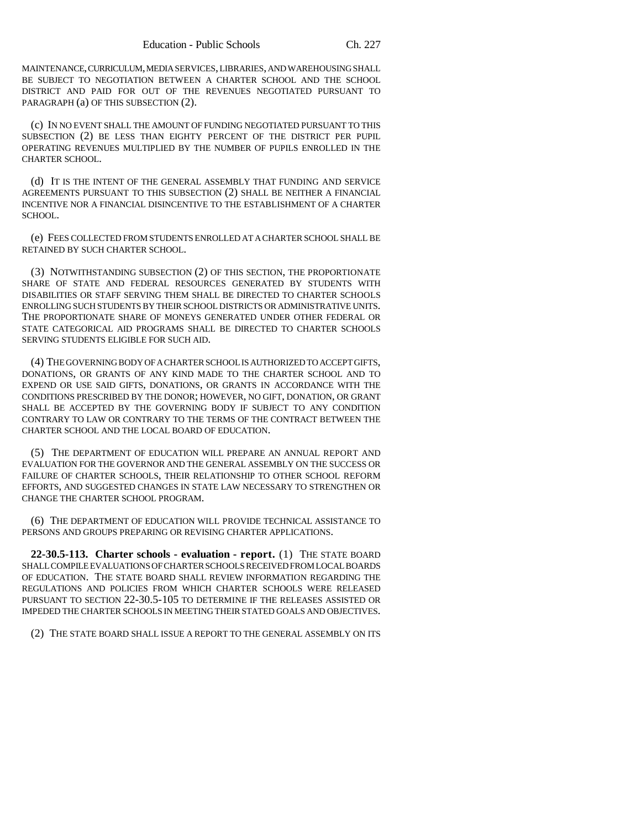MAINTENANCE, CURRICULUM, MEDIA SERVICES, LIBRARIES, AND WAREHOUSING SHALL BE SUBJECT TO NEGOTIATION BETWEEN A CHARTER SCHOOL AND THE SCHOOL DISTRICT AND PAID FOR OUT OF THE REVENUES NEGOTIATED PURSUANT TO PARAGRAPH (a) OF THIS SUBSECTION (2).

(c) IN NO EVENT SHALL THE AMOUNT OF FUNDING NEGOTIATED PURSUANT TO THIS SUBSECTION (2) BE LESS THAN EIGHTY PERCENT OF THE DISTRICT PER PUPIL OPERATING REVENUES MULTIPLIED BY THE NUMBER OF PUPILS ENROLLED IN THE CHARTER SCHOOL.

(d) IT IS THE INTENT OF THE GENERAL ASSEMBLY THAT FUNDING AND SERVICE AGREEMENTS PURSUANT TO THIS SUBSECTION (2) SHALL BE NEITHER A FINANCIAL INCENTIVE NOR A FINANCIAL DISINCENTIVE TO THE ESTABLISHMENT OF A CHARTER SCHOOL.

(e) FEES COLLECTED FROM STUDENTS ENROLLED AT A CHARTER SCHOOL SHALL BE RETAINED BY SUCH CHARTER SCHOOL.

(3) NOTWITHSTANDING SUBSECTION (2) OF THIS SECTION, THE PROPORTIONATE SHARE OF STATE AND FEDERAL RESOURCES GENERATED BY STUDENTS WITH DISABILITIES OR STAFF SERVING THEM SHALL BE DIRECTED TO CHARTER SCHOOLS ENROLLING SUCH STUDENTS BY THEIR SCHOOL DISTRICTS OR ADMINISTRATIVE UNITS. THE PROPORTIONATE SHARE OF MONEYS GENERATED UNDER OTHER FEDERAL OR STATE CATEGORICAL AID PROGRAMS SHALL BE DIRECTED TO CHARTER SCHOOLS SERVING STUDENTS ELIGIBLE FOR SUCH AID.

(4) THE GOVERNING BODY OF A CHARTER SCHOOL IS AUTHORIZED TO ACCEPT GIFTS, DONATIONS, OR GRANTS OF ANY KIND MADE TO THE CHARTER SCHOOL AND TO EXPEND OR USE SAID GIFTS, DONATIONS, OR GRANTS IN ACCORDANCE WITH THE CONDITIONS PRESCRIBED BY THE DONOR; HOWEVER, NO GIFT, DONATION, OR GRANT SHALL BE ACCEPTED BY THE GOVERNING BODY IF SUBJECT TO ANY CONDITION CONTRARY TO LAW OR CONTRARY TO THE TERMS OF THE CONTRACT BETWEEN THE CHARTER SCHOOL AND THE LOCAL BOARD OF EDUCATION.

(5) THE DEPARTMENT OF EDUCATION WILL PREPARE AN ANNUAL REPORT AND EVALUATION FOR THE GOVERNOR AND THE GENERAL ASSEMBLY ON THE SUCCESS OR FAILURE OF CHARTER SCHOOLS, THEIR RELATIONSHIP TO OTHER SCHOOL REFORM EFFORTS, AND SUGGESTED CHANGES IN STATE LAW NECESSARY TO STRENGTHEN OR CHANGE THE CHARTER SCHOOL PROGRAM.

(6) THE DEPARTMENT OF EDUCATION WILL PROVIDE TECHNICAL ASSISTANCE TO PERSONS AND GROUPS PREPARING OR REVISING CHARTER APPLICATIONS.

**22-30.5-113. Charter schools - evaluation - report.** (1) THE STATE BOARD SHALL COMPILE EVALUATIONS OF CHARTER SCHOOLS RECEIVED FROM LOCAL BOARDS OF EDUCATION. THE STATE BOARD SHALL REVIEW INFORMATION REGARDING THE REGULATIONS AND POLICIES FROM WHICH CHARTER SCHOOLS WERE RELEASED PURSUANT TO SECTION 22-30.5-105 TO DETERMINE IF THE RELEASES ASSISTED OR IMPEDED THE CHARTER SCHOOLS IN MEETING THEIR STATED GOALS AND OBJECTIVES.

(2) THE STATE BOARD SHALL ISSUE A REPORT TO THE GENERAL ASSEMBLY ON ITS